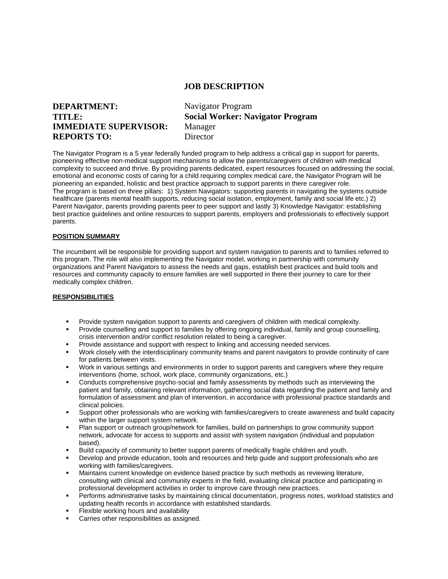## **JOB DESCRIPTION**

# **DEPARTMENT: TITLE: IMMEDIATE SUPERVISOR: REPORTS TO:**

Navigator Program **Social Worker: Navigator Program** Manager Director

The Navigator Program is a 5 year federally funded program to help address a critical gap in support for parents, pioneering effective non-medical support mechanisms to allow the parents/caregivers of children with medical complexity to succeed and thrive. By providing parents dedicated, expert resources focused on addressing the social, emotional and economic costs of caring for a child requiring complex medical care, the Navigator Program will be pioneering an expanded, holistic and best practice approach to support parents in there caregiver role. The program is based on three pillars: 1) System Navigators: supporting parents in navigating the systems outside healthcare (parents mental health supports, reducing social isolation, employment, family and social life etc.) 2) Parent Navigator, parents providing parents peer to peer support and lastly 3) Knowledge Navigator: establishing best practice guidelines and online resources to support parents, employers and professionals to effectively support parents.

#### **POSITION SUMMARY**

The incumbent will be responsible for providing support and system navigation to parents and to families referred to this program. The role will also implementing the Navigator model, working in partnership with community organizations and Parent Navigators to assess the needs and gaps, establish best practices and build tools and resources and community capacity to ensure families are well supported in there their journey to care for their medically complex children.

#### **RESPONSIBILITIES**

- Provide system navigation support to parents and caregivers of children with medical complexity.
- Provide counselling and support to families by offering ongoing individual, family and group counselling, crisis intervention and/or conflict resolution related to being a caregiver.
- Provide assistance and support with respect to linking and accessing needed services.
- Work closely with the interdisciplinary community teams and parent navigators to provide continuity of care for patients between visits.
- Work in various settings and environments in order to support parents and caregivers where they require interventions (home, school, work place, community organizations, etc.)
- Conducts comprehensive psycho-social and family assessments by methods such as interviewing the patient and family, obtaining relevant information, gathering social data regarding the patient and family and formulation of assessment and plan of intervention, in accordance with professional practice standards and clinical policies.
- Support other professionals who are working with families/caregivers to create awareness and build capacity within the larger support system network.
- Plan support or outreach group/network for families, build on partnerships to grow community support network, advocate for access to supports and assist with system navigation (individual and population based).
- Build capacity of community to better support parents of medically fragile children and youth.
- Develop and provide education, tools and resources and help guide and support professionals who are working with families/caregivers.
- Maintains current knowledge on evidence based practice by such methods as reviewing literature, consulting with clinical and community experts in the field, evaluating clinical practice and participating in professional development activities in order to improve care through new practices.
- Performs administrative tasks by maintaining clinical documentation, progress notes, workload statistics and updating health records in accordance with established standards.
- Flexible working hours and availability
- Carries other responsibilities as assigned.